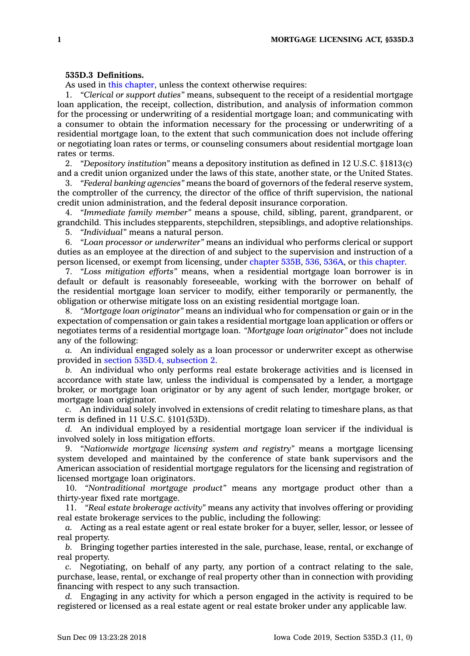## **535D.3 Definitions.**

As used in this [chapter](https://www.legis.iowa.gov/docs/code//535D.pdf), unless the context otherwise requires:

1. *"Clerical or support duties"* means, subsequent to the receipt of <sup>a</sup> residential mortgage loan application, the receipt, collection, distribution, and analysis of information common for the processing or underwriting of <sup>a</sup> residential mortgage loan; and communicating with <sup>a</sup> consumer to obtain the information necessary for the processing or underwriting of <sup>a</sup> residential mortgage loan, to the extent that such communication does not include offering or negotiating loan rates or terms, or counseling consumers about residential mortgage loan rates or terms.

2. *"Depository institution"* means <sup>a</sup> depository institution as defined in 12 U.S.C. §1813(c) and <sup>a</sup> credit union organized under the laws of this state, another state, or the United States.

3. *"Federal banking agencies"* means the board of governors of the federal reserve system, the comptroller of the currency, the director of the office of thrift supervision, the national credit union administration, and the federal deposit insurance corporation.

4. *"Immediate family member"* means <sup>a</sup> spouse, child, sibling, parent, grandparent, or grandchild. This includes stepparents, stepchildren, stepsiblings, and adoptive relationships.

5. *"Individual"* means <sup>a</sup> natural person.

6. *"Loan processor or underwriter"* means an individual who performs clerical or support duties as an employee at the direction of and subject to the supervision and instruction of <sup>a</sup> person licensed, or exempt from licensing, under [chapter](https://www.legis.iowa.gov/docs/code//535B.pdf) 535B, [536](https://www.legis.iowa.gov/docs/code//536.pdf), [536A](https://www.legis.iowa.gov/docs/code//536A.pdf), or this [chapter](https://www.legis.iowa.gov/docs/code//535D.pdf).

7. *"Loss mitigation efforts"* means, when <sup>a</sup> residential mortgage loan borrower is in default or default is reasonably foreseeable, working with the borrower on behalf of the residential mortgage loan servicer to modify, either temporarily or permanently, the obligation or otherwise mitigate loss on an existing residential mortgage loan.

8. *"Mortgage loan originator"* means an individual who for compensation or gain or in the expectation of compensation or gain takes <sup>a</sup> residential mortgage loan application or offers or negotiates terms of <sup>a</sup> residential mortgage loan. *"Mortgage loan originator"* does not include any of the following:

*a.* An individual engaged solely as <sup>a</sup> loan processor or underwriter except as otherwise provided in section 535D.4, [subsection](https://www.legis.iowa.gov/docs/code/535D.4.pdf) 2.

*b.* An individual who only performs real estate brokerage activities and is licensed in accordance with state law, unless the individual is compensated by <sup>a</sup> lender, <sup>a</sup> mortgage broker, or mortgage loan originator or by any agent of such lender, mortgage broker, or mortgage loan originator.

*c.* An individual solely involved in extensions of credit relating to timeshare plans, as that term is defined in 11 U.S.C. §101(53D).

*d.* An individual employed by <sup>a</sup> residential mortgage loan servicer if the individual is involved solely in loss mitigation efforts.

9. *"Nationwide mortgage licensing system and registry"* means <sup>a</sup> mortgage licensing system developed and maintained by the conference of state bank supervisors and the American association of residential mortgage regulators for the licensing and registration of licensed mortgage loan originators.

10. *"Nontraditional mortgage product"* means any mortgage product other than <sup>a</sup> thirty-year fixed rate mortgage.

11. *"Real estate brokerage activity"* means any activity that involves offering or providing real estate brokerage services to the public, including the following:

*a.* Acting as <sup>a</sup> real estate agent or real estate broker for <sup>a</sup> buyer, seller, lessor, or lessee of real property.

*b.* Bringing together parties interested in the sale, purchase, lease, rental, or exchange of real property.

*c.* Negotiating, on behalf of any party, any portion of <sup>a</sup> contract relating to the sale, purchase, lease, rental, or exchange of real property other than in connection with providing financing with respect to any such transaction.

*d.* Engaging in any activity for which <sup>a</sup> person engaged in the activity is required to be registered or licensed as <sup>a</sup> real estate agent or real estate broker under any applicable law.